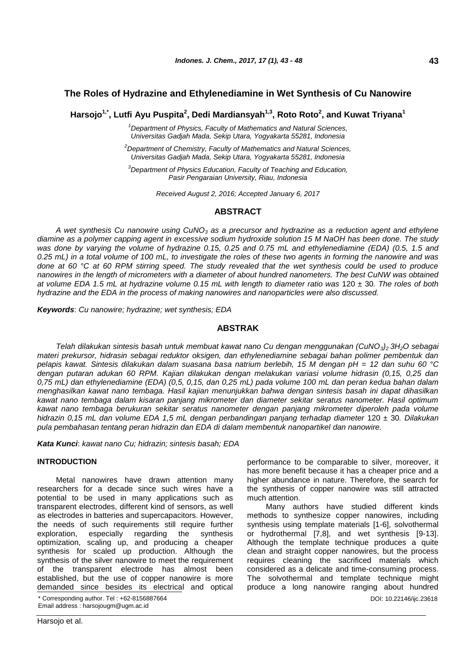## **The Roles of Hydrazine and Ethylenediamine in Wet Synthesis of Cu Nanowire**

**Harsojo1,\* , Lutfi Ayu Puspita<sup>2</sup> , Dedi Mardiansyah1,3, Roto Roto<sup>2</sup> , and Kuwat Triyana<sup>1</sup>**

*<sup>1</sup>Department of Physics, Faculty of Mathematics and Natural Sciences, Universitas Gadjah Mada, Sekip Utara, Yogyakarta 55281, Indonesia*

*<sup>2</sup>Department of Chemistry, Faculty of Mathematics and Natural Sciences, Universitas Gadjah Mada, Sekip Utara, Yogyakarta 55281, Indonesia*

*<sup>3</sup>Department of Physics Education, Faculty of Teaching and Education, Pasir Pengaraian University, Riau, Indonesia*

*Received August 2, 2016; Accepted January 6, 2017*

## **ABSTRACT**

*A wet synthesis Cu nanowire using CuNO<sup>3</sup> as a precursor and hydrazine as a reduction agent and ethylene diamine as a polymer capping agent in excessive sodium hydroxide solution 15 M NaOH has been done. The study was done by varying the volume of hydrazine 0.15, 0.25 and 0.75 mL and ethylenediamine (EDA) (0.5, 1.5 and 0.25 mL) in a total volume of 100 mL, to investigate the roles of these two agents in forming the nanowire and was done at 60 °C at 60 RPM stirring speed. The study revealed that the wet synthesis could be used to produce nanowires in the length of micrometers with a diameter of about hundred nanometers. The best CuNW was obtained at volume EDA 1.5 mL at hydrazine volume 0.15 mL with length to diameter ratio was* 120 ± 30*. The roles of both hydrazine and the EDA in the process of making nanowires and nanoparticles were also discussed.*

*Keywords*: *Cu nanowire; hydrazine; wet synthesis; EDA*

## **ABSTRAK**

*Telah dilakukan sintesis basah untuk membuat kawat nano Cu dengan menggunakan (CuNO3)2 3H2O sebagai materi prekursor, hidrasin sebagai reduktor oksigen, dan ethylenediamine sebagai bahan polimer pembentuk dan pelapis kawat. Sintesis dilakukan dalam suasana basa natrium berlebih, 15 M dengan pH = 12 dan suhu 60 °C dengan putaran adukan 60 RPM. Kajian dilakukan dengan melakukan variasi volume hidrasin (0,15, 0,25 dan 0,75 mL) dan ethylenediamine (EDA) (0,5, 0,15, dan 0,25 mL) pada volume 100 mL dan peran kedua bahan dalam menghasilkan kawat nano tembaga. Hasil kajian menunjukkan bahwa dengan sintesis basah ini dapat dihasilkan kawat nano tembaga dalam kisaran panjang mikrometer dan diameter sekitar seratus nanometer. Hasil optimum kawat nano tembaga berukuran sekitar seratus nanometer dengan panjang mikrometer diperoleh pada volume hidrazin 0,15 mL dan volume EDA 1,5 mL dengan perbandingan panjang terhadap diameter* 120 ± 30*. Dilakukan pula pembahasan tentang peran hidrazin dan EDA di dalam membentuk nanopartikel dan nanowire.*

*Kata Kunci*: *kawat nano Cu; hidrazin; sintesis basah; EDA*

### **INTRODUCTION**

Metal nanowires have drawn attention many researchers for a decade since such wires have a potential to be used in many applications such as transparent electrodes, different kind of sensors, as well as electrodes in batteries and supercapacitors. However, the needs of such requirements still require further exploration, especially regarding the synthesis optimization, scaling up, and producing a cheaper synthesis for scaled up production. Although the synthesis of the silver nanowire to meet the requirement of the transparent electrode has almost been established, but the use of copper nanowire is more demanded since besides its electrical and optical

\* Corresponding author. Tel : +62-8156887664 Email address : harsojougm@ugm.ac.id

performance to be comparable to silver, moreover, it has more benefit because it has a cheaper price and a higher abundance in nature. Therefore, the search for the synthesis of copper nanowire was still attracted much attention.

DOI: 10.22146/ijc.23618 Many authors have studied different kinds methods to synthesize copper nanowires, including synthesis using template materials [1-6], solvothermal or hydrothermal [7,8], and wet synthesis [9-13]. Although the template technique produces a quite clean and straight copper nanowires, but the process requires cleaning the sacrificed materials which considered as a delicate and time-consuming process. The solvothermal and template technique might produce a long nanowire ranging about hundred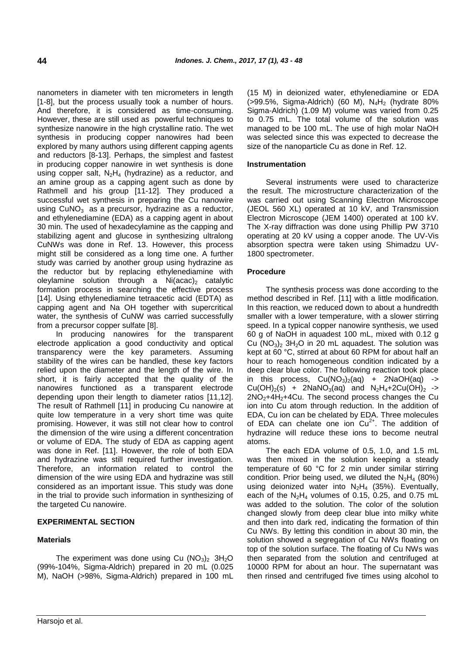nanometers in diameter with ten micrometers in length [1-8], but the process usually took a number of hours. And therefore, it is considered as time-consuming. However, these are still used as powerful techniques to synthesize nanowire in the high crystalline ratio. The wet synthesis in producing copper nanowires had been explored by many authors using different capping agents and reductors [8-13]. Perhaps, the simplest and fastest in producing copper nanowire in wet synthesis is done using copper salt,  $N_2H_4$  (hydrazine) as a reductor, and an amine group as a capping agent such as done by Rathmell and his group [11-12]. They produced a successful wet synthesis in preparing the Cu nanowire using  $CuNO<sub>3</sub>$  as a precursor, hydrazine as a reductor, and ethylenediamine (EDA) as a capping agent in about 30 min. The used of hexadecylamine as the capping and stabilizing agent and glucose in synthesizing ultralong CuNWs was done in Ref. 13. However, this process might still be considered as a long time one. A further study was carried by another group using hydrazine as the reductor but by replacing ethylenediamine with oleylamine solution through a  $Ni (acac)_2$  catalytic formation process in searching the effective process [14]. Using ethylenediamine tetraacetic acid (EDTA) as capping agent and Na OH together with supercritical water, the synthesis of CuNW was carried successfully from a precursor copper sulfate [8].

In producing nanowires for the transparent electrode application a good conductivity and optical transparency were the key parameters. Assuming stability of the wires can be handled, these key factors relied upon the diameter and the length of the wire. In short, it is fairly accepted that the quality of the nanowires functioned as a transparent electrode depending upon their length to diameter ratios [11,12]. The result of Rathmell [11] in producing Cu nanowire at quite low temperature in a very short time was quite promising. However, it was still not clear how to control the dimension of the wire using a different concentration or volume of EDA. The study of EDA as capping agent was done in Ref. [11]. However, the role of both EDA and hydrazine was still required further investigation. Therefore, an information related to control the dimension of the wire using EDA and hydrazine was still considered as an important issue. This study was done in the trial to provide such information in synthesizing of the targeted Cu nanowire.

## **EXPERIMENTAL SECTION**

### **Materials**

The experiment was done using Cu  $(NO_3)_2$  3H<sub>2</sub>O (99%-104%, Sigma-Aldrich) prepared in 20 mL (0.025 M), NaOH (>98%, Sigma-Aldrich) prepared in 100 mL (15 M) in deionized water, ethylenediamine or EDA  $(>99.5\%$ , Sigma-Aldrich) (60 M), N<sub>4</sub>H<sub>2</sub> (hydrate 80%) Sigma-Aldrich) (1.09 M) volume was varied from 0.25 to 0.75 mL. The total volume of the solution was managed to be 100 mL. The use of high molar NaOH was selected since this was expected to decrease the size of the nanoparticle Cu as done in Ref. 12.

# **Instrumentation**

Several instruments were used to characterize the result. The microstructure characterization of the was carried out using Scanning Electron Microscope (JEOL 560 XL) operated at 10 kV, and Transmission Electron Microscope (JEM 1400) operated at 100 kV. The X-ray diffraction was done using Phillip PW 3710 operating at 20 kV using a copper anode. The UV-Vis absorption spectra were taken using Shimadzu UV-1800 spectrometer.

### **Procedure**

The synthesis process was done according to the method described in Ref. [11] with a little modification. In this reaction, we reduced down to about a hundredth smaller with a lower temperature, with a slower stirring speed. In a typical copper nanowire synthesis, we used 60 g of NaOH in aquadest 100 mL, mixed with 0.12 g Cu  $(NO<sub>3</sub>)<sub>2</sub> 3H<sub>2</sub>O$  in 20 mL aquadest. The solution was kept at 60 °C, stirred at about 60 RPM for about half an hour to reach homogeneous condition indicated by a deep clear blue color. The following reaction took place in this process,  $Cu(NO<sub>3</sub>)<sub>2</sub>(aq) + 2NaOH(aq)$  ->  $Cu(OH)<sub>2</sub>(s) + 2NaNO<sub>3</sub>(aq)$  and  $N<sub>2</sub>H<sub>4</sub>+2Cu(OH)<sub>2</sub>$  ->  $2NO<sub>2</sub>+4H<sub>2</sub>+4Cu$ . The second process changes the Cu ion into Cu atom through reduction. In the addition of EDA, Cu ion can be chelated by EDA. Three molecules of EDA can chelate one ion  $Cu^{2+}$ . The addition of hydrazine will reduce these ions to become neutral atoms.

The each EDA volume of 0.5, 1.0, and 1.5 mL was then mixed in the solution keeping a steady temperature of 60 °C for 2 min under similar stirring condition. Prior being used, we diluted the  $N_2H_4$  (80%) using deionized water into  $N_2H_4$  (35%). Eventually, each of the  $N_2H_4$  volumes of 0.15, 0.25, and 0.75 mL was added to the solution. The color of the solution changed slowly from deep clear blue into milky white and then into dark red, indicating the formation of thin Cu NWs. By letting this condition in about 30 min, the solution showed a segregation of Cu NWs floating on top of the solution surface. The floating of Cu NWs was then separated from the solution and centrifuged at 10000 RPM for about an hour. The supernatant was then rinsed and centrifuged five times using alcohol to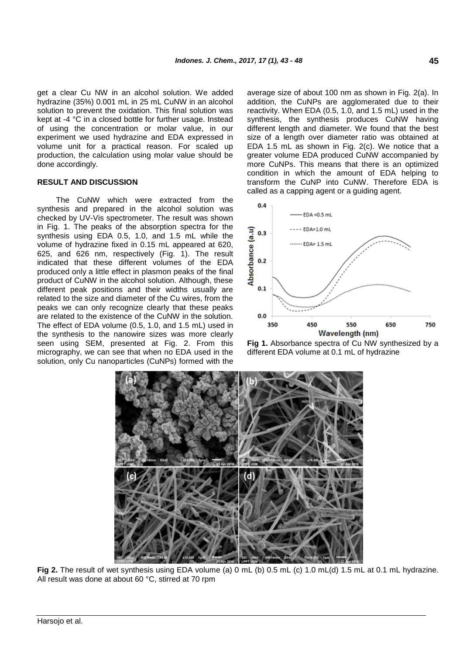get a clear Cu NW in an alcohol solution. We added hydrazine (35%) 0.001 mL in 25 mL CuNW in an alcohol solution to prevent the oxidation. This final solution was kept at -4 °C in a closed bottle for further usage. Instead of using the concentration or molar value, in our experiment we used hydrazine and EDA expressed in volume unit for a practical reason. For scaled up production, the calculation using molar value should be done accordingly.

### **RESULT AND DISCUSSION**

The CuNW which were extracted from the synthesis and prepared in the alcohol solution was checked by UV-Vis spectrometer. The result was shown in Fig. 1. The peaks of the absorption spectra for the synthesis using EDA 0.5, 1.0, and 1.5 mL while the volume of hydrazine fixed in 0.15 mL appeared at 620, 625, and 626 nm, respectively (Fig. 1). The result indicated that these different volumes of the EDA produced only a little effect in plasmon peaks of the final product of CuNW in the alcohol solution. Although, these different peak positions and their widths usually are related to the size and diameter of the Cu wires, from the peaks we can only recognize clearly that these peaks are related to the existence of the CuNW in the solution. The effect of EDA volume (0.5, 1.0, and 1.5 mL) used in the synthesis to the nanowire sizes was more clearly seen using SEM, presented at Fig. 2. From this micrography, we can see that when no EDA used in the solution, only Cu nanoparticles (CuNPs) formed with the

average size of about 100 nm as shown in Fig. 2(a). In addition, the CuNPs are agglomerated due to their reactivity. When EDA (0.5, 1.0, and 1.5 mL) used in the synthesis, the synthesis produces CuNW having different length and diameter. We found that the best size of a length over diameter ratio was obtained at EDA 1.5 mL as shown in Fig. 2(c). We notice that a greater volume EDA produced CuNW accompanied by more CuNPs. This means that there is an optimized condition in which the amount of EDA helping to transform the CuNP into CuNW. Therefore EDA is called as a capping agent or a guiding agent.







**Fig 2.** The result of wet synthesis using EDA volume (a) 0 mL (b) 0.5 mL (c) 1.0 mL(d) 1.5 mL at 0.1 mL hydrazine. All result was done at about 60 °C, stirred at 70 rpm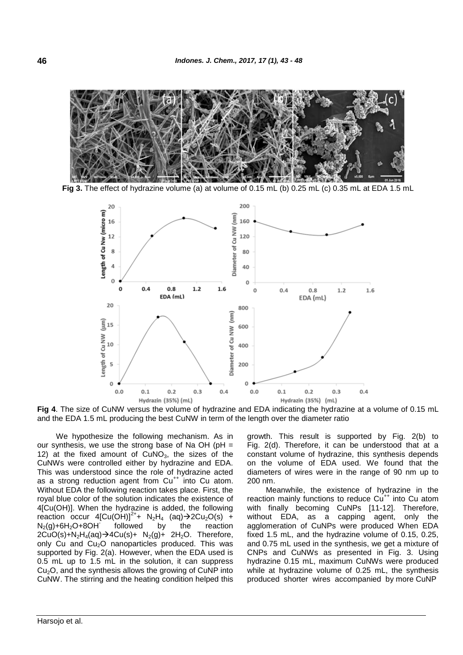

**Fig 3.** The effect of hydrazine volume (a) at volume of 0.15 mL (b) 0.25 mL (c) 0.35 mL at EDA 1.5 mL



**Fig 4**. The size of CuNW versus the volume of hydrazine and EDA indicating the hydrazine at a volume of 0.15 mL and the EDA 1.5 mL producing the best CuNW in term of the length over the diameter ratio

We hypothesize the following mechanism. As in our synthesis, we use the strong base of Na OH ( $pH =$ 12) at the fixed amount of  $CuNO<sub>3</sub>$ , the sizes of the CuNWs were controlled either by hydrazine and EDA. This was understood since the role of hydrazine acted as a strong reduction agent from  $Cu^{++}$  into Cu atom. Without EDA the following reaction takes place. First, the royal blue color of the solution indicates the existence of 4[Cu(OH)]. When the hydrazine is added, the following reaction occur  $4$ [Cu(OH)]<sup>2+</sup>+ N<sub>2</sub>H<sub>4</sub> (aq) $\rightarrow$ 2Cu<sub>2</sub>O(s) +  $N_2(q) + 6H_2O + 8OH$ followed by the reaction  $2CuO(s)+N<sub>2</sub>H<sub>4</sub>(aq) \rightarrow 4Cu(s)+ N<sub>2</sub>(q)+ 2H<sub>2</sub>O$ . Therefore, only Cu and  $Cu<sub>2</sub>O$  nanoparticles produced. This was supported by Fig. 2(a). However, when the EDA used is 0.5 mL up to 1.5 mL in the solution, it can suppress  $Cu<sub>2</sub>O$ , and the synthesis allows the growing of CuNP into CuNW. The stirring and the heating condition helped this growth. This result is supported by Fig. 2(b) to Fig. 2(d). Therefore, it can be understood that at a constant volume of hydrazine, this synthesis depends on the volume of EDA used. We found that the diameters of wires were in the range of 90 nm up to 200 nm.

Meanwhile, the existence of hydrazine in the reaction mainly functions to reduce Cu<sup>++</sup> into Cu atom with finally becoming CuNPs [11-12]. Therefore, without EDA, as a capping agent, only the agglomeration of CuNPs were produced When EDA fixed 1.5 mL, and the hydrazine volume of 0.15, 0.25, and 0.75 mL used in the synthesis, we get a mixture of CNPs and CuNWs as presented in Fig. 3. Using hydrazine 0.15 mL, maximum CuNWs were produced while at hydrazine volume of 0.25 mL, the synthesis produced shorter wires accompanied by more CuNP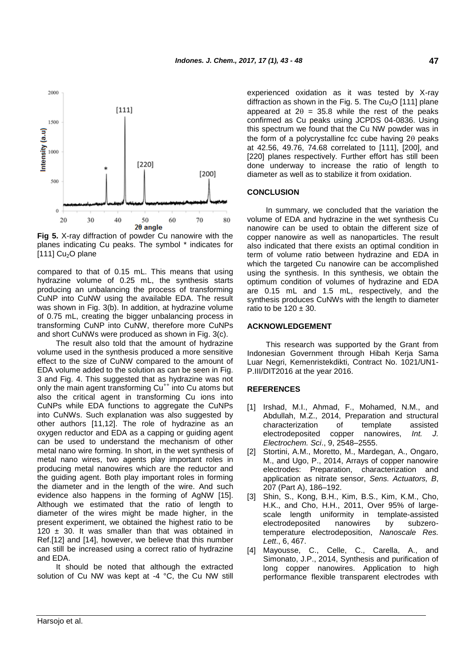

**Fig 5.** X-ray diffraction of powder Cu nanowire with the planes indicating Cu peaks. The symbol \* indicates for  $[111]$  Cu<sub>2</sub>O plane

compared to that of 0.15 mL. This means that using hydrazine volume of 0.25 mL, the synthesis starts producing an unbalancing the process of transforming CuNP into CuNW using the available EDA. The result was shown in Fig. 3(b). In addition, at hydrazine volume of 0.75 mL, creating the bigger unbalancing process in transforming CuNP into CuNW, therefore more CuNPs and short CuNWs were produced as shown in Fig. 3(c).

The result also told that the amount of hydrazine volume used in the synthesis produced a more sensitive effect to the size of CuNW compared to the amount of EDA volume added to the solution as can be seen in Fig. 3 and Fig. 4. This suggested that as hydrazine was not only the main agent transforming  $Cu^{++}$  into Cu atoms but also the critical agent in transforming Cu ions into CuNPs while EDA functions to aggregate the CuNPs into CuNWs. Such explanation was also suggested by other authors [11,12]. The role of hydrazine as an oxygen reductor and EDA as a capping or guiding agent can be used to understand the mechanism of other metal nano wire forming. In short, in the wet synthesis of metal nano wires, two agents play important roles in producing metal nanowires which are the reductor and the guiding agent. Both play important roles in forming the diameter and in the length of the wire. And such evidence also happens in the forming of AgNW [15]. Although we estimated that the ratio of length to diameter of the wires might be made higher, in the present experiment, we obtained the highest ratio to be 120  $\pm$  30. It was smaller than that was obtained in Ref.[12] and [14], however, we believe that this number can still be increased using a correct ratio of hydrazine and EDA.

It should be noted that although the extracted solution of Cu NW was kept at -4 °C, the Cu NW still experienced oxidation as it was tested by X-ray diffraction as shown in the Fig. 5. The  $Cu<sub>2</sub>O$  [111] plane appeared at  $2\theta = 35.8$  while the rest of the peaks confirmed as Cu peaks using JCPDS 04-0836. Using this spectrum we found that the Cu NW powder was in the form of a polycrystalline fcc cube having  $2\theta$  peaks at 42.56, 49.76, 74.68 correlated to [111], [200], and [220] planes respectively. Further effort has still been done underway to increase the ratio of length to diameter as well as to stabilize it from oxidation.

### **CONCLUSION**

In summary, we concluded that the variation the volume of EDA and hydrazine in the wet synthesis Cu nanowire can be used to obtain the different size of copper nanowire as well as nanoparticles. The result also indicated that there exists an optimal condition in term of volume ratio between hydrazine and EDA in which the targeted Cu nanowire can be accomplished using the synthesis. In this synthesis, we obtain the optimum condition of volumes of hydrazine and EDA are 0.15 mL and 1.5 mL, respectively, and the synthesis produces CuNWs with the length to diameter ratio to be  $120 \pm 30$ .

### **ACKNOWLEDGEMENT**

This research was supported by the Grant from Indonesian Government through Hibah Kerja Sama Luar Negri, Kemenristekdikti, Contract No. 1021/UN1- P.III/DIT2016 at the year 2016.

#### **REFERENCES**

- [1] Irshad, M.I., Ahmad, F., Mohamed, N.M., and Abdullah, M.Z., 2014, Preparation and structural characterization of template assisted electrodeposited copper nanowires, *Int. J. Electrochem. Sci*., 9, 2548–2555.
- [2] Stortini, A.M., Moretto, M., Mardegan, A., Ongaro, M., and Ugo, P., 2014, Arrays of copper nanowire electrodes: Preparation, characterization and application as nitrate sensor, *Sens. Actuators, B*, 207 (Part A), 186–192.
- [3] Shin, S., Kong, B.H., Kim, B.S., Kim, K.M., Cho, H.K., and Cho, H.H., 2011, Over 95% of largescale length uniformity in template-assisted electrodeposited nanowires by subzerotemperature electrodeposition, *Nanoscale Res. Lett*., 6, 467.
- [4] Mayousse, C., Celle, C., Carella, A., and Simonato, J.P., 2014, Synthesis and purification of long copper nanowires. Application to high performance flexible transparent electrodes with